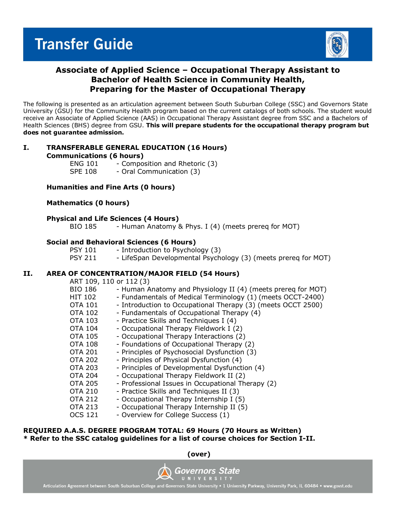

### **Associate of Applied Science – Occupational Therapy Assistant to Bachelor of Health Science in Community Health, Preparing for the Master of Occupational Therapy**

The following is presented as an articulation agreement between South Suburban College (SSC) and Governors State University (GSU) for the Community Health program based on the current catalogs of both schools. The student would receive an Associate of Applied Science (AAS) in Occupational Therapy Assistant degree from SSC and a Bachelors of Health Sciences (BHS) degree from GSU. **This will prepare students for the occupational therapy program but does not guarantee admission.** 

## **I. TRANSFERABLE GENERAL EDUCATION (16 Hours)**

**Communications (6 hours)**

ENG  $101$  - Composition and Rhetoric (3)<br>SPF 108 - Oral Communication (3) - Oral Communication (3)

#### **Humanities and Fine Arts (0 hours)**

#### **Mathematics (0 hours)**

#### **Physical and Life Sciences (4 Hours)**

BIO 185 - Human Anatomy & Phys. I (4) (meets prereq for MOT)

#### **Social and Behavioral Sciences (6 Hours)**

PSY 101 - Introduction to Psychology (3) PSY 211 - LifeSpan Developmental Psychology (3) (meets prereq for MOT)

#### **II. AREA OF CONCENTRATION/MAJOR FIELD (54 Hours)**

 $ADT$  100, 110 or 112 (3)

| ANI 109, 110 01 112 (3) |                                                              |
|-------------------------|--------------------------------------------------------------|
| <b>BIO 186</b>          | - Human Anatomy and Physiology II (4) (meets prereg for MOT) |
| <b>HIT 102</b>          | - Fundamentals of Medical Terminology (1) (meets OCCT-2400)  |
| <b>OTA 101</b>          | - Introduction to Occupational Therapy (3) (meets OCCT 2500) |
| <b>OTA 102</b>          | - Fundamentals of Occupational Therapy (4)                   |
| <b>OTA 103</b>          | - Practice Skills and Techniques I (4)                       |
| <b>OTA 104</b>          | - Occupational Therapy Fieldwork I (2)                       |
| <b>OTA 105</b>          | - Occupational Therapy Interactions (2)                      |
| <b>OTA 108</b>          | - Foundations of Occupational Therapy (2)                    |
| <b>OTA 201</b>          | - Principles of Psychosocial Dysfunction (3)                 |
| <b>OTA 202</b>          | - Principles of Physical Dysfunction (4)                     |
| <b>OTA 203</b>          | - Principles of Developmental Dysfunction (4)                |
| <b>OTA 204</b>          | - Occupational Therapy Fieldwork II (2)                      |
| <b>OTA 205</b>          | - Professional Issues in Occupational Therapy (2)            |
| <b>OTA 210</b>          | - Practice Skills and Techniques II (3)                      |
| <b>OTA 212</b>          | - Occupational Therapy Internship I (5)                      |
| <b>OTA 213</b>          | - Occupational Therapy Internship II (5)                     |
| <b>OCS 121</b>          | - Overview for College Success (1)                           |
|                         |                                                              |

#### **REQUIRED A.A.S. DEGREE PROGRAM TOTAL: 69 Hours (70 Hours as Written) \* Refer to the SSC catalog guidelines for a list of course choices for Section I-II.**

**(over)**